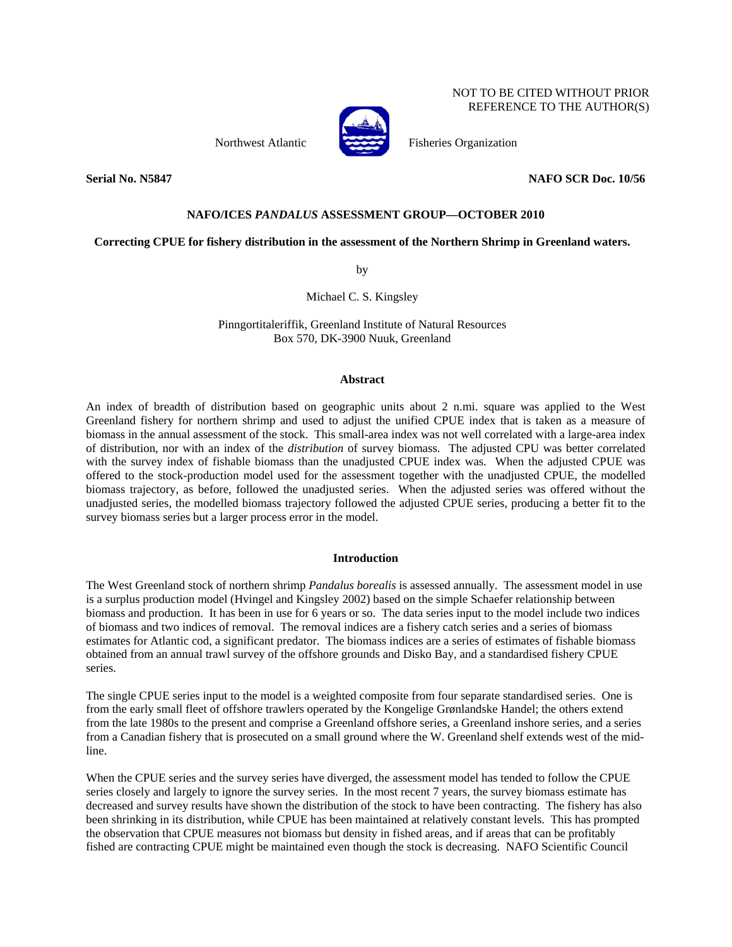NOT TO BE CITED WITHOUT PRIOR REFERENCE TO THE AUTHOR(S)

Northwest Atlantic Fisheries Organization

## **Serial No. N5847 NAFO SCR Doc. 10/56**

# **NAFO/ICES** *PANDALUS* **ASSESSMENT GROUP—OCTOBER 2010**

# **Correcting CPUE for fishery distribution in the assessment of the Northern Shrimp in Greenland waters.**

by

Michael C. S. Kingsley

Pinngortitaleriffik, Greenland Institute of Natural Resources Box 570, DK-3900 Nuuk, Greenland

#### **Abstract**

An index of breadth of distribution based on geographic units about 2 n.mi. square was applied to the West Greenland fishery for northern shrimp and used to adjust the unified CPUE index that is taken as a measure of biomass in the annual assessment of the stock. This small-area index was not well correlated with a large-area index of distribution, nor with an index of the *distribution* of survey biomass. The adjusted CPU was better correlated with the survey index of fishable biomass than the unadjusted CPUE index was. When the adjusted CPUE was offered to the stock-production model used for the assessment together with the unadjusted CPUE, the modelled biomass trajectory, as before, followed the unadjusted series. When the adjusted series was offered without the unadjusted series, the modelled biomass trajectory followed the adjusted CPUE series, producing a better fit to the survey biomass series but a larger process error in the model.

### **Introduction**

The West Greenland stock of northern shrimp *Pandalus borealis* is assessed annually. The assessment model in use is a surplus production model (Hvingel and Kingsley 2002) based on the simple Schaefer relationship between biomass and production. It has been in use for 6 years or so. The data series input to the model include two indices of biomass and two indices of removal. The removal indices are a fishery catch series and a series of biomass estimates for Atlantic cod, a significant predator. The biomass indices are a series of estimates of fishable biomass obtained from an annual trawl survey of the offshore grounds and Disko Bay, and a standardised fishery CPUE series.

The single CPUE series input to the model is a weighted composite from four separate standardised series. One is from the early small fleet of offshore trawlers operated by the Kongelige Grønlandske Handel; the others extend from the late 1980s to the present and comprise a Greenland offshore series, a Greenland inshore series, and a series from a Canadian fishery that is prosecuted on a small ground where the W. Greenland shelf extends west of the midline.

When the CPUE series and the survey series have diverged, the assessment model has tended to follow the CPUE series closely and largely to ignore the survey series. In the most recent 7 years, the survey biomass estimate has decreased and survey results have shown the distribution of the stock to have been contracting. The fishery has also been shrinking in its distribution, while CPUE has been maintained at relatively constant levels. This has prompted the observation that CPUE measures not biomass but density in fished areas, and if areas that can be profitably fished are contracting CPUE might be maintained even though the stock is decreasing. NAFO Scientific Council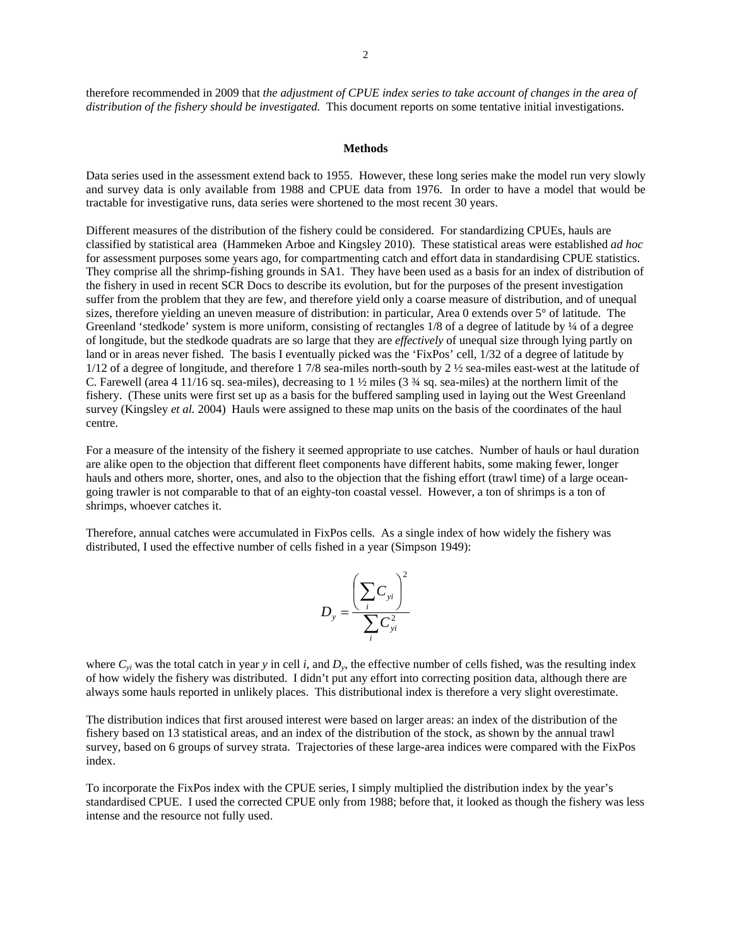therefore recommended in 2009 that *the adjustment of CPUE index series to take account of changes in the area of distribution of the fishery should be investigated.* This document reports on some tentative initial investigations.

#### **Methods**

Data series used in the assessment extend back to 1955. However, these long series make the model run very slowly and survey data is only available from 1988 and CPUE data from 1976. In order to have a model that would be tractable for investigative runs, data series were shortened to the most recent 30 years.

Different measures of the distribution of the fishery could be considered. For standardizing CPUEs, hauls are classified by statistical area (Hammeken Arboe and Kingsley 2010). These statistical areas were established *ad hoc*  for assessment purposes some years ago, for compartmenting catch and effort data in standardising CPUE statistics. They comprise all the shrimp-fishing grounds in SA1. They have been used as a basis for an index of distribution of the fishery in used in recent SCR Docs to describe its evolution, but for the purposes of the present investigation suffer from the problem that they are few, and therefore yield only a coarse measure of distribution, and of unequal sizes, therefore yielding an uneven measure of distribution: in particular, Area 0 extends over 5° of latitude. The Greenland 'stedkode' system is more uniform, consisting of rectangles 1/8 of a degree of latitude by 1/4 of a degree of longitude, but the stedkode quadrats are so large that they are *effectively* of unequal size through lying partly on land or in areas never fished. The basis I eventually picked was the 'FixPos' cell, 1/32 of a degree of latitude by 1/12 of a degree of longitude, and therefore 1 7/8 sea-miles north-south by 2 ½ sea-miles east-west at the latitude of C. Farewell (area 4 11/16 sq. sea-miles), decreasing to 1  $\frac{1}{2}$  miles (3  $\frac{3}{4}$  sq. sea-miles) at the northern limit of the fishery. (These units were first set up as a basis for the buffered sampling used in laying out the West Greenland survey (Kingsley *et al.* 2004) Hauls were assigned to these map units on the basis of the coordinates of the haul centre.

For a measure of the intensity of the fishery it seemed appropriate to use catches. Number of hauls or haul duration are alike open to the objection that different fleet components have different habits, some making fewer, longer hauls and others more, shorter, ones, and also to the objection that the fishing effort (trawl time) of a large oceangoing trawler is not comparable to that of an eighty-ton coastal vessel. However, a ton of shrimps is a ton of shrimps, whoever catches it.

Therefore, annual catches were accumulated in FixPos cells. As a single index of how widely the fishery was distributed, I used the effective number of cells fished in a year (Simpson 1949):



where  $C_{yi}$  was the total catch in year *y* in cell *i*, and  $D_y$ , the effective number of cells fished, was the resulting index of how widely the fishery was distributed. I didn't put any effort into correcting position data, although there are always some hauls reported in unlikely places. This distributional index is therefore a very slight overestimate.

The distribution indices that first aroused interest were based on larger areas: an index of the distribution of the fishery based on 13 statistical areas, and an index of the distribution of the stock, as shown by the annual trawl survey, based on 6 groups of survey strata. Trajectories of these large-area indices were compared with the FixPos index.

To incorporate the FixPos index with the CPUE series, I simply multiplied the distribution index by the year's standardised CPUE. I used the corrected CPUE only from 1988; before that, it looked as though the fishery was less intense and the resource not fully used.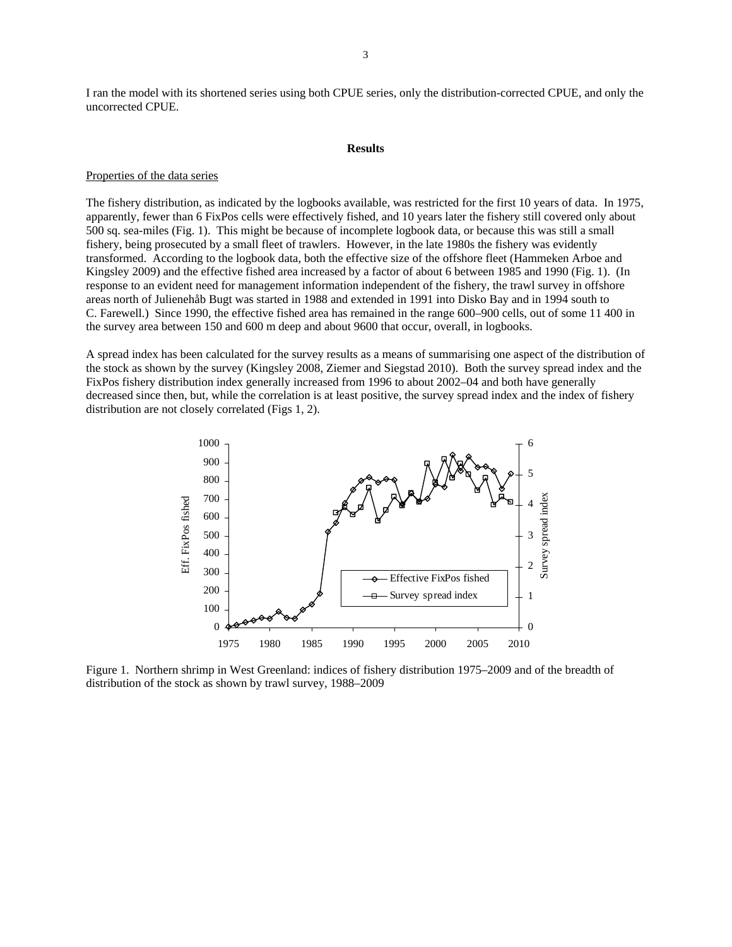I ran the model with its shortened series using both CPUE series, only the distribution-corrected CPUE, and only the uncorrected CPUE.

#### **Results**

#### Properties of the data series

The fishery distribution, as indicated by the logbooks available, was restricted for the first 10 years of data. In 1975, apparently, fewer than 6 FixPos cells were effectively fished, and 10 years later the fishery still covered only about 500 sq. sea-miles (Fig. 1). This might be because of incomplete logbook data, or because this was still a small fishery, being prosecuted by a small fleet of trawlers. However, in the late 1980s the fishery was evidently transformed. According to the logbook data, both the effective size of the offshore fleet (Hammeken Arboe and Kingsley 2009) and the effective fished area increased by a factor of about 6 between 1985 and 1990 (Fig. 1). (In response to an evident need for management information independent of the fishery, the trawl survey in offshore areas north of Julienehåb Bugt was started in 1988 and extended in 1991 into Disko Bay and in 1994 south to C. Farewell.) Since 1990, the effective fished area has remained in the range 600–900 cells, out of some 11 400 in the survey area between 150 and 600 m deep and about 9600 that occur, overall, in logbooks.

A spread index has been calculated for the survey results as a means of summarising one aspect of the distribution of the stock as shown by the survey (Kingsley 2008, Ziemer and Siegstad 2010). Both the survey spread index and the FixPos fishery distribution index generally increased from 1996 to about 2002–04 and both have generally decreased since then, but, while the correlation is at least positive, the survey spread index and the index of fishery distribution are not closely correlated (Figs 1, 2).



Figure 1. Northern shrimp in West Greenland: indices of fishery distribution 1975–2009 and of the breadth of distribution of the stock as shown by trawl survey, 1988–2009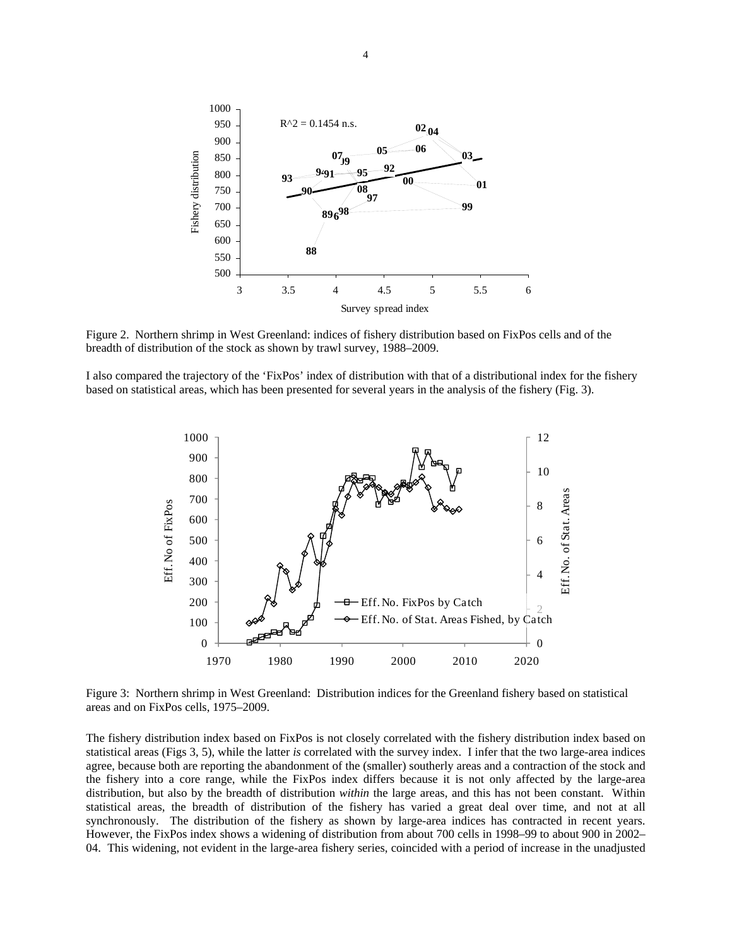

Figure 2. Northern shrimp in West Greenland: indices of fishery distribution based on FixPos cells and of the breadth of distribution of the stock as shown by trawl survey, 1988–2009.

I also compared the trajectory of the 'FixPos' index of distribution with that of a distributional index for the fishery based on statistical areas, which has been presented for several years in the analysis of the fishery (Fig. 3).



Figure 3: Northern shrimp in West Greenland: Distribution indices for the Greenland fishery based on statistical areas and on FixPos cells, 1975–2009.

The fishery distribution index based on FixPos is not closely correlated with the fishery distribution index based on statistical areas (Figs 3, 5), while the latter *is* correlated with the survey index. I infer that the two large-area indices agree, because both are reporting the abandonment of the (smaller) southerly areas and a contraction of the stock and the fishery into a core range, while the FixPos index differs because it is not only affected by the large-area distribution, but also by the breadth of distribution *within* the large areas, and this has not been constant. Within statistical areas, the breadth of distribution of the fishery has varied a great deal over time, and not at all synchronously. The distribution of the fishery as shown by large-area indices has contracted in recent years. However, the FixPos index shows a widening of distribution from about 700 cells in 1998–99 to about 900 in 2002– 04. This widening, not evident in the large-area fishery series, coincided with a period of increase in the unadjusted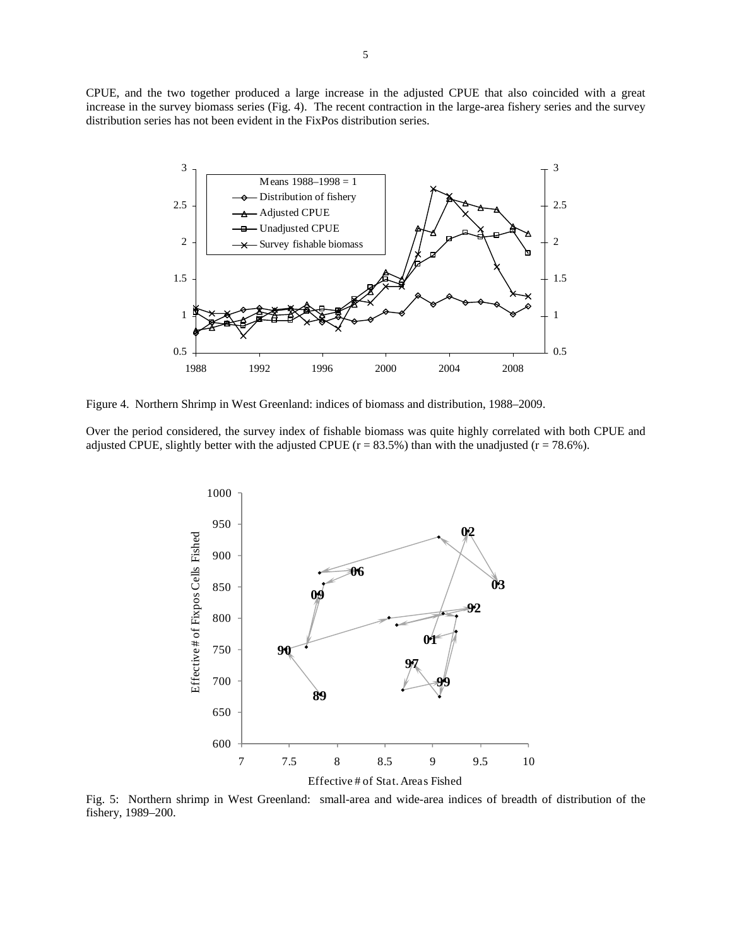CPUE, and the two together produced a large increase in the adjusted CPUE that also coincided with a great increase in the survey biomass series (Fig. 4). The recent contraction in the large-area fishery series and the survey distribution series has not been evident in the FixPos distribution series.



Figure 4. Northern Shrimp in West Greenland: indices of biomass and distribution, 1988–2009.

Over the period considered, the survey index of fishable biomass was quite highly correlated with both CPUE and adjusted CPUE, slightly better with the adjusted CPUE ( $r = 83.5\%$ ) than with the unadjusted ( $r = 78.6\%$ ).



Fig. 5: Northern shrimp in West Greenland: small-area and wide-area indices of breadth of distribution of the fishery, 1989–200.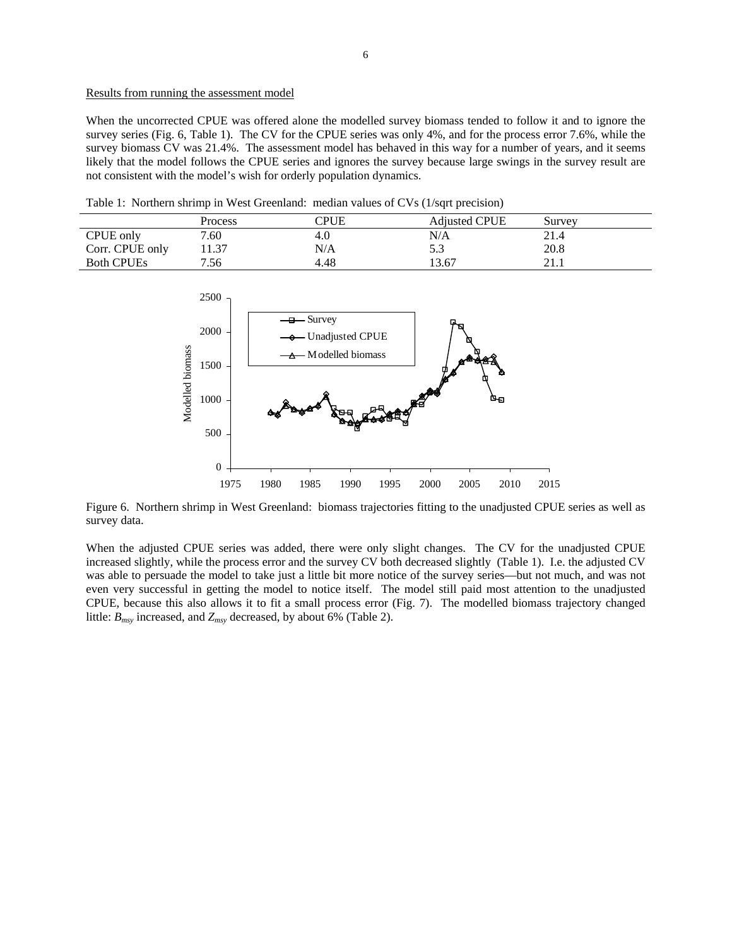## Results from running the assessment model

When the uncorrected CPUE was offered alone the modelled survey biomass tended to follow it and to ignore the survey series (Fig. 6, Table 1). The CV for the CPUE series was only 4%, and for the process error 7.6%, while the survey biomass CV was 21.4%. The assessment model has behaved in this way for a number of years, and it seems likely that the model follows the CPUE series and ignores the survey because large swings in the survey result are not consistent with the model's wish for orderly population dynamics.

Table 1: Northern shrimp in West Greenland: median values of CVs (1/sqrt precision)

|                   | Process | CPUE | <b>Adjusted CPUE</b> | Survey      |
|-------------------|---------|------|----------------------|-------------|
| CPUE only         | 7.60    | 4.0  | N/A                  | 21.4        |
| Corr. CPUE only   | 1.37    | N/A  | ن. ر                 | 20.8        |
| <b>Both CPUEs</b> | 7.56    | 4.48 | 13.67                | ו ר<br>41.I |



Figure 6. Northern shrimp in West Greenland: biomass trajectories fitting to the unadjusted CPUE series as well as survey data.

When the adjusted CPUE series was added, there were only slight changes. The CV for the unadjusted CPUE increased slightly, while the process error and the survey CV both decreased slightly (Table 1). I.e. the adjusted CV was able to persuade the model to take just a little bit more notice of the survey series—but not much, and was not even very successful in getting the model to notice itself. The model still paid most attention to the unadjusted CPUE, because this also allows it to fit a small process error (Fig. 7). The modelled biomass trajectory changed little: *Bmsy* increased, and *Zmsy* decreased, by about 6% (Table 2).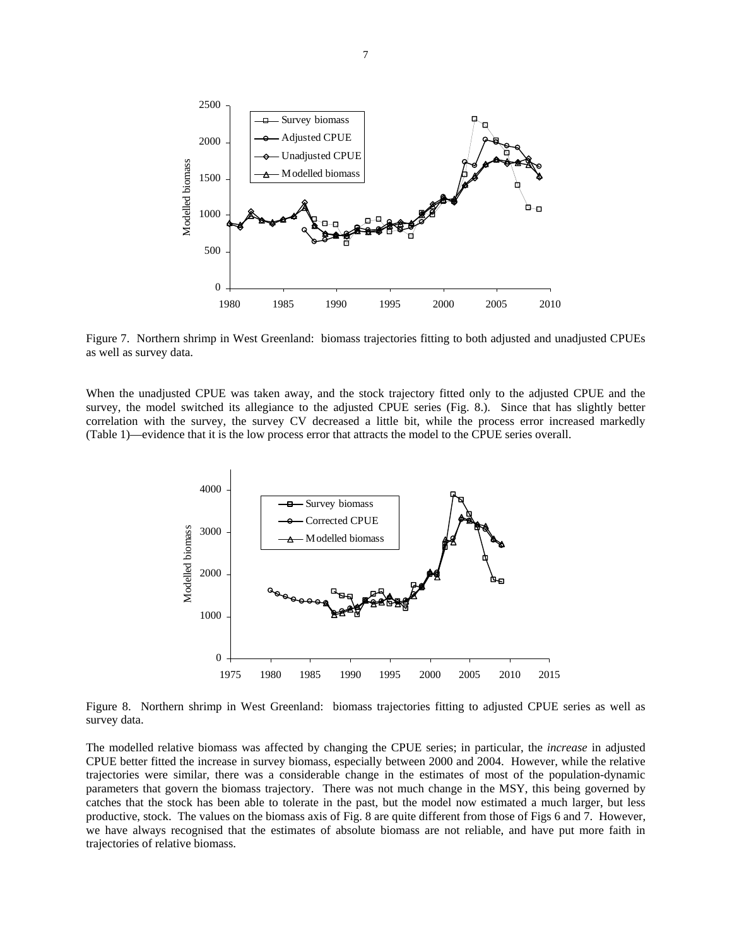

Figure 7. Northern shrimp in West Greenland: biomass trajectories fitting to both adjusted and unadjusted CPUEs as well as survey data.

When the unadjusted CPUE was taken away, and the stock trajectory fitted only to the adjusted CPUE and the survey, the model switched its allegiance to the adjusted CPUE series (Fig. 8.). Since that has slightly better correlation with the survey, the survey CV decreased a little bit, while the process error increased markedly (Table 1)—evidence that it is the low process error that attracts the model to the CPUE series overall.



Figure 8. Northern shrimp in West Greenland: biomass trajectories fitting to adjusted CPUE series as well as survey data.

The modelled relative biomass was affected by changing the CPUE series; in particular, the *increase* in adjusted CPUE better fitted the increase in survey biomass, especially between 2000 and 2004. However, while the relative trajectories were similar, there was a considerable change in the estimates of most of the population-dynamic parameters that govern the biomass trajectory. There was not much change in the MSY, this being governed by catches that the stock has been able to tolerate in the past, but the model now estimated a much larger, but less productive, stock. The values on the biomass axis of Fig. 8 are quite different from those of Figs 6 and 7. However, we have always recognised that the estimates of absolute biomass are not reliable, and have put more faith in trajectories of relative biomass.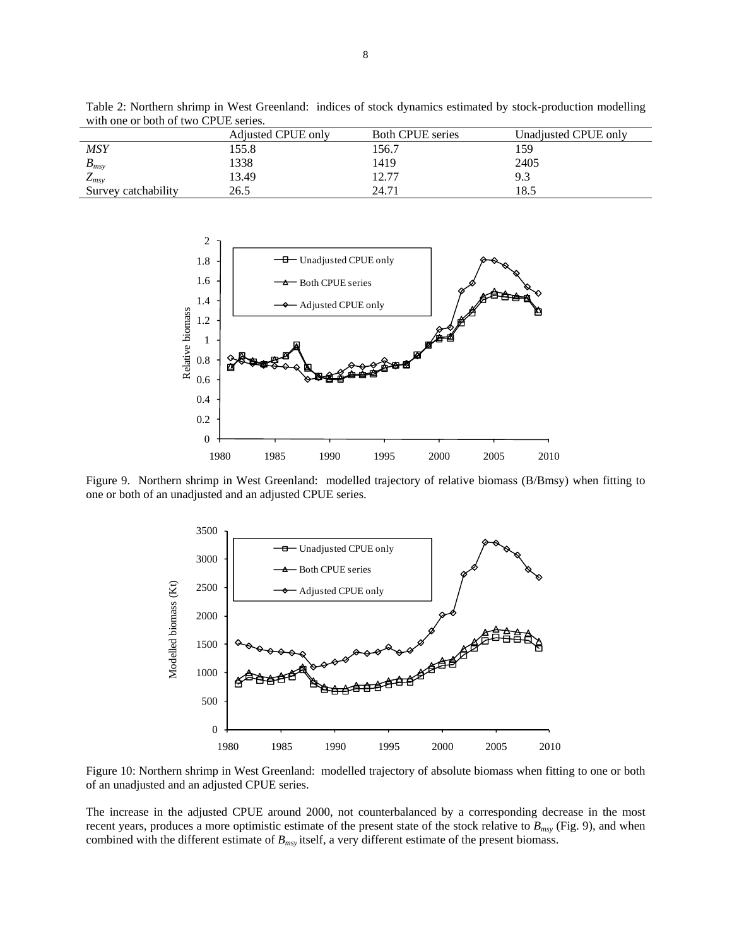|                                      | Table 2: Northern shrimp in West Greenland: indices of stock dynamics estimated by stock-production modelling |
|--------------------------------------|---------------------------------------------------------------------------------------------------------------|
| with one or both of two CPUE series. |                                                                                                               |

|                     | Adjusted CPUE only | <b>Both CPUE</b> series | Unadjusted CPUE only |
|---------------------|--------------------|-------------------------|----------------------|
| <b>MSY</b>          | 155.8              | 156.7                   | 159                  |
| $B_{msv}$           | 1338               | 1419                    | 2405                 |
| $L_{msv}$           | 13.49              | 12.77                   | 9.3                  |
| Survey catchability | 26.5               | 24.71                   | l 8.5                |



Figure 9. Northern shrimp in West Greenland: modelled trajectory of relative biomass (B/Bmsy) when fitting to one or both of an unadjusted and an adjusted CPUE series.



Figure 10: Northern shrimp in West Greenland: modelled trajectory of absolute biomass when fitting to one or both of an unadjusted and an adjusted CPUE series.

The increase in the adjusted CPUE around 2000, not counterbalanced by a corresponding decrease in the most recent years, produces a more optimistic estimate of the present state of the stock relative to  $B_{msv}$  (Fig. 9), and when combined with the different estimate of *Bmsy* itself, a very different estimate of the present biomass.